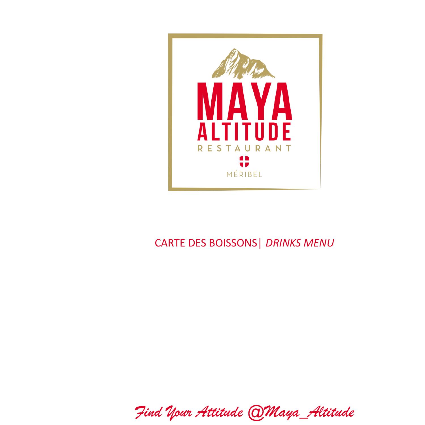

## CARTE DES BOISSONS│ *DRINKS MENU*

*Find Your Attitude @Maya\_Altitude*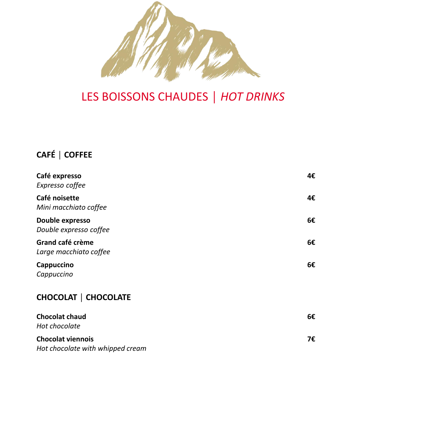

# LES BOISSONS CHAUDES │ *HOT DRINKS*

## **CAFÉ │ COFFEE**

| Café expresso<br>Expresso coffee                             | 4€ |
|--------------------------------------------------------------|----|
| Café noisette<br>Mini macchiato coffee                       | 4€ |
| Double expresso<br>Double expresso coffee                    | 6€ |
| Grand café crème<br>Large macchiato coffee                   | 6€ |
| Cappuccino<br>Cappuccino                                     | 6€ |
| <b>CHOCOLAT   CHOCOLATE</b>                                  |    |
| <b>Chocolat chaud</b><br>Hot chocolate                       | 6€ |
| <b>Chocolat viennois</b><br>Hot chocolate with whipped cream | 7€ |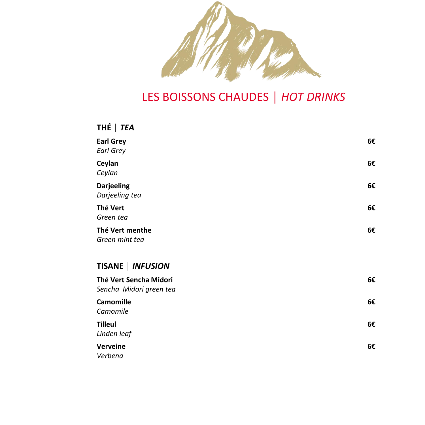

# LES BOISSONS CHAUDES │ *HOT DRINKS*

## **THÉ │** *TEA*

| <b>Earl Grey</b><br><b>Earl Grey</b>              | 6€ |
|---------------------------------------------------|----|
| Ceylan<br>Ceylan                                  | 6€ |
| <b>Darjeeling</b><br>Darjeeling tea               | 6€ |
| Thé Vert<br>Green tea                             | 6€ |
| Thé Vert menthe<br>Green mint tea                 | 6€ |
| TISANE   INFUSION                                 |    |
| Thé Vert Sencha Midori<br>Sencha Midori green tea | 6€ |
| <b>Camomille</b><br>Camomile                      | 6€ |
| <b>Tilleul</b><br>Linden leaf                     | 6€ |
| Verveine<br>Verbena                               | 6€ |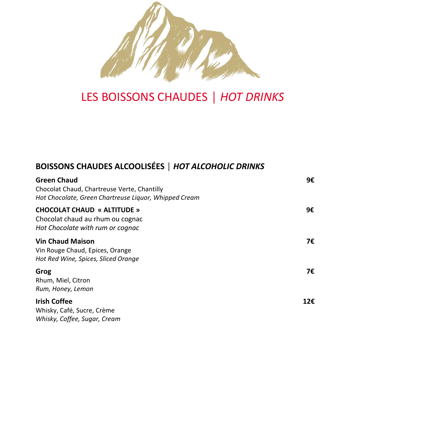

# LES BOISSONS CHAUDES │ *HOT DRINKS*

## **BOISSONS CHAUDES ALCOOLISÉES** *│ HOT ALCOHOLIC DRINKS*

| <b>Green Chaud</b><br>Chocolat Chaud, Chartreuse Verte, Chantilly<br>Hot Chocolate, Green Chartreuse Liquor, Whipped Cream | 9€  |
|----------------------------------------------------------------------------------------------------------------------------|-----|
| <b>CHOCOLAT CHAUD « ALTITUDE »</b><br>Chocolat chaud au rhum ou cognac<br>Hot Chocolate with rum or cognac                 | 9€  |
| <b>Vin Chaud Maison</b><br>Vin Rouge Chaud, Epices, Orange<br>Hot Red Wine, Spices, Sliced Orange                          | 7€  |
| Grog<br>Rhum, Miel, Citron<br>Rum, Honey, Lemon                                                                            | 7€  |
| <b>Irish Coffee</b><br>Whisky, Café, Sucre, Crème<br>Whisky, Coffee, Sugar, Cream                                          | 12€ |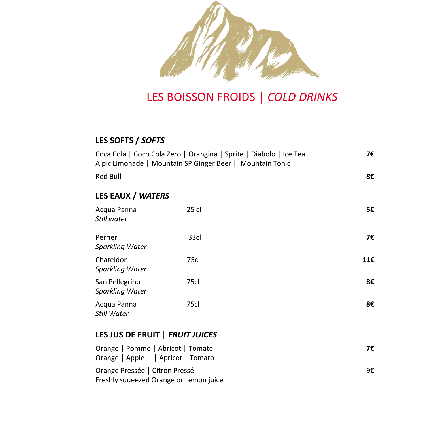

# LES BOISSON FROIDS │ *COLD DRINKS*

### **LES SOFTS /** *SOFTS*

|                                          | Coca Cola   Coco Cola Zero   Orangina   Sprite   Diabolo   Ice Tea<br>Alpic Limonade   Mountain SP Ginger Beer   Mountain Tonic | 7€  |
|------------------------------------------|---------------------------------------------------------------------------------------------------------------------------------|-----|
| <b>Red Bull</b>                          |                                                                                                                                 | 8€  |
| LES EAUX / WATERS                        |                                                                                                                                 |     |
| Acqua Panna<br>Still water               | 25 cl                                                                                                                           | 5€  |
| Perrier<br>Sparkling Water               | 33cl                                                                                                                            | 7€  |
| Chateldon<br>Sparkling Water             | 75cl                                                                                                                            | 11€ |
| San Pellegrino<br><b>Sparkling Water</b> | 75cl                                                                                                                            | 8€  |
| Acqua Panna<br>Still Water               | 75cl                                                                                                                            | 8€  |
| LES JUS DE FRUIT   FRUIT JUICES          |                                                                                                                                 |     |
| Orange   Pomme   Abricot   Tomate        |                                                                                                                                 | 7£  |

| Orange   Pomme   Abricot   Tomate      | 7€ |
|----------------------------------------|----|
| Orange   Apple   Apricot   Tomato      |    |
| Orange Pressée   Citron Pressé         | 9€ |
| Freshly squeezed Orange or Lemon juice |    |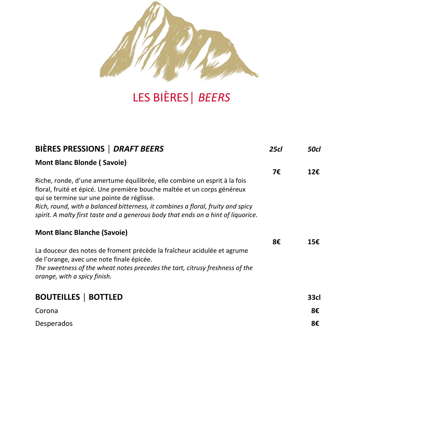

# LES BIÈRES│ *BEERS*

| BIÈRES PRESSIONS   DRAFT BEERS                                                                                                                                                                                                                                                                                                                                              | <b>25cl</b> | 50cl |
|-----------------------------------------------------------------------------------------------------------------------------------------------------------------------------------------------------------------------------------------------------------------------------------------------------------------------------------------------------------------------------|-------------|------|
| <b>Mont Blanc Blonde (Savoie)</b>                                                                                                                                                                                                                                                                                                                                           |             |      |
| Riche, ronde, d'une amertume équilibrée, elle combine un esprit à la fois<br>floral, fruité et épicé. Une première bouche maltée et un corps généreux<br>qui se termine sur une pointe de réglisse.<br>Rich, round, with a balanced bitterness, it combines a floral, fruity and spicy<br>spirit. A malty first taste and a generous body that ends on a hint of liquorice. | 7€          | 12€  |
| <b>Mont Blanc Blanche (Savoie)</b>                                                                                                                                                                                                                                                                                                                                          |             |      |
| La douceur des notes de froment précède la fraîcheur acidulée et agrume<br>de l'orange, avec une note finale épicée.<br>The sweetness of the wheat notes precedes the tart, citrusy freshness of the<br>orange, with a spicy finish.                                                                                                                                        | 8€          | 15€  |
| <b>BOUTEILLES   BOTTLED</b>                                                                                                                                                                                                                                                                                                                                                 |             | 33cl |
| Corona                                                                                                                                                                                                                                                                                                                                                                      |             | 8€   |
| Desperados                                                                                                                                                                                                                                                                                                                                                                  |             | 8€   |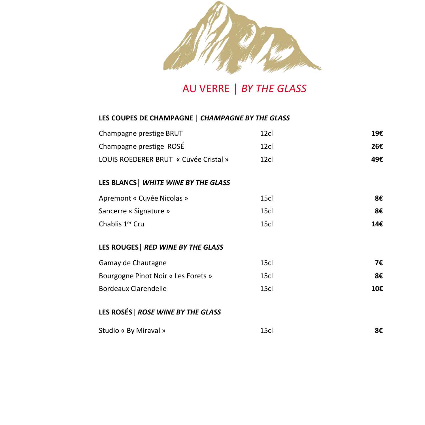

## AU VERRE │ *BY THE GLASS*

#### **LES COUPES DE CHAMPAGNE │** *CHAMPAGNE BY THE GLASS*

| Champagne prestige BRUT               | 12cl             | 19€ |
|---------------------------------------|------------------|-----|
| Champagne prestige ROSÉ               | 12cl             | 26€ |
| LOUIS ROEDERER BRUT « Cuvée Cristal » | 12 <sub>cl</sub> | 49€ |
| LES BLANCS   WHITE WINE BY THE GLASS  |                  |     |
| Apremont « Cuvée Nicolas »            | 15cl             | 8€  |
| Sancerre « Signature »                | 15cl             | 8€  |
| Chablis 1 <sup>er</sup> Cru           | 15cl             | 14€ |
| LES ROUGES   RED WINE BY THE GLASS    |                  |     |
| Gamay de Chautagne                    | 15cl             | 7€  |
| Bourgogne Pinot Noir « Les Forets »   | 15cl             | 8€  |
| Bordeaux Clarendelle                  | 15cl             | 10€ |
| . <i>. .</i>                          |                  |     |

### **LES ROSÉS│** *ROSE WINE BY THE GLASS*

| Studio « By Miraval » | 15cl |  |
|-----------------------|------|--|
|                       |      |  |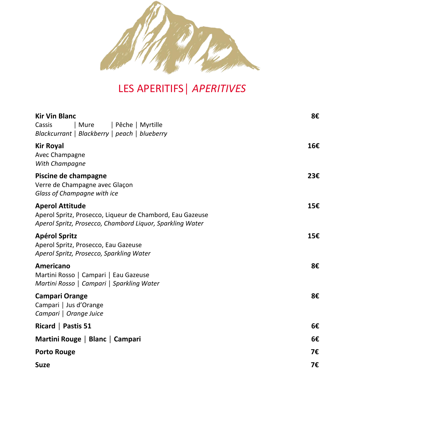

# LES APERITIFS│ *APERITIVES*

| <b>Kir Vin Blanc</b><br>Cassis<br>  Mure<br>  Pêche   Myrtille<br>Blackcurrant   Blackberry   peach   blueberry                                  | 8€  |
|--------------------------------------------------------------------------------------------------------------------------------------------------|-----|
| <b>Kir Royal</b><br>Avec Champagne<br>With Champagne                                                                                             | 16€ |
| Piscine de champagne<br>Verre de Champagne avec Glaçon<br>Glass of Champagne with ice                                                            | 23€ |
| <b>Aperol Attitude</b><br>Aperol Spritz, Prosecco, Liqueur de Chambord, Eau Gazeuse<br>Aperol Spritz, Prosecco, Chambord Liquor, Sparkling Water | 15€ |
| <b>Apérol Spritz</b><br>Aperol Spritz, Prosecco, Eau Gazeuse<br>Aperol Spritz, Prosecco, Sparkling Water                                         | 15€ |
| Americano<br>Martini Rosso   Campari   Eau Gazeuse<br>Martini Rosso   Campari   Sparkling Water                                                  | 8€  |
| <b>Campari Orange</b><br>Campari   Jus d'Orange<br>Campari   Orange Juice                                                                        | 8€  |
| Ricard   Pastis 51                                                                                                                               | 6€  |
| Martini Rouge   Blanc   Campari                                                                                                                  | 6€  |
| <b>Porto Rouge</b>                                                                                                                               | 7€  |
| <b>Suze</b>                                                                                                                                      | 7€  |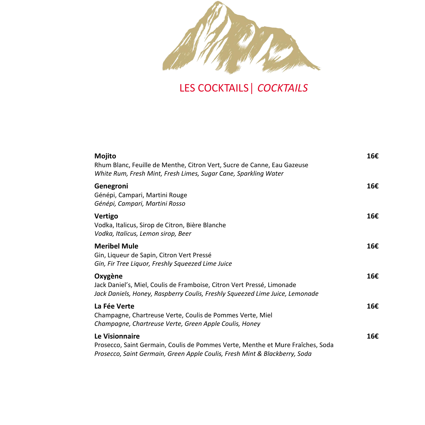

LES COCKTAILS│ *COCKTAILS*

| Mojito<br>Rhum Blanc, Feuille de Menthe, Citron Vert, Sucre de Canne, Eau Gazeuse<br>White Rum, Fresh Mint, Fresh Limes, Sugar Cane, Sparkling Water                           | 16€ |
|--------------------------------------------------------------------------------------------------------------------------------------------------------------------------------|-----|
| Genegroni<br>Génépi, Campari, Martini Rouge<br>Génépi, Campari, Martini Rosso                                                                                                  | 16€ |
| Vertigo<br>Vodka, Italicus, Sirop de Citron, Bière Blanche<br>Vodka, Italicus, Lemon sirop, Beer                                                                               | 16€ |
| <b>Meribel Mule</b><br>Gin, Liqueur de Sapin, Citron Vert Pressé<br>Gin, Fir Tree Liguor, Freshly Squeezed Lime Juice                                                          | 16€ |
| Oxygène<br>Jack Daniel's, Miel, Coulis de Framboise, Citron Vert Pressé, Limonade<br>Jack Daniels, Honey, Raspberry Coulis, Freshly Squeezed Lime Juice, Lemonade              | 16€ |
| La Fée Verte<br>Champagne, Chartreuse Verte, Coulis de Pommes Verte, Miel<br>Champagne, Chartreuse Verte, Green Apple Coulis, Honey                                            | 16€ |
| Le Visionnaire<br>Prosecco, Saint Germain, Coulis de Pommes Verte, Menthe et Mure Fraîches, Soda<br>Prosecco, Saint Germain, Green Apple Coulis, Fresh Mint & Blackberry, Soda | 16€ |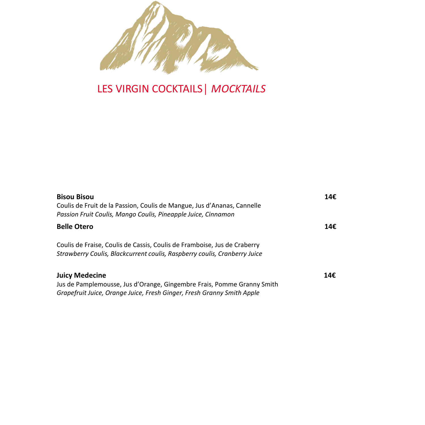

# LES VIRGIN COCKTAILS│ *MOCKTAILS*

| <b>Bisou Bisou</b><br>Coulis de Fruit de la Passion, Coulis de Mangue, Jus d'Ananas, Cannelle<br>Passion Fruit Coulis, Mango Coulis, Pineapple Juice, Cinnamon            | 14€ |
|---------------------------------------------------------------------------------------------------------------------------------------------------------------------------|-----|
| <b>Belle Otero</b>                                                                                                                                                        | 14€ |
| Coulis de Fraise, Coulis de Cassis, Coulis de Framboise, Jus de Craberry<br>Strawberry Coulis, Blackcurrent coulis, Raspberry coulis, Cranberry Juice                     |     |
| <b>Juicy Medecine</b><br>Jus de Pamplemousse, Jus d'Orange, Gingembre Frais, Pomme Granny Smith<br>Grapefruit Juice, Orange Juice, Fresh Ginger, Fresh Granny Smith Apple | 14€ |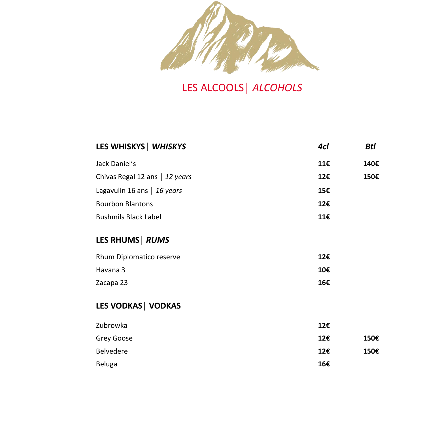

LES ALCOOLS│ *ALCOHOLS*

| LES WHISKYS   WHISKYS          | 4cl | Btl  |
|--------------------------------|-----|------|
| Jack Daniel's                  | 11€ | 140€ |
| Chivas Regal 12 ans   12 years | 12€ | 150€ |
| Lagavulin 16 ans   16 years    | 15€ |      |
| <b>Bourbon Blantons</b>        | 12€ |      |
| <b>Bushmils Black Label</b>    | 11€ |      |
| LES RHUMS   RUMS               |     |      |
| Rhum Diplomatico reserve       | 12€ |      |
| Havana 3                       | 10€ |      |
| Zacapa 23                      | 16€ |      |
| <b>LES VODKAS   VODKAS</b>     |     |      |
| Zubrowka                       | 12€ |      |
| Grey Goose                     | 12€ | 150€ |
| Belvedere                      | 12€ | 150€ |
| <b>Beluga</b>                  | 16€ |      |
|                                |     |      |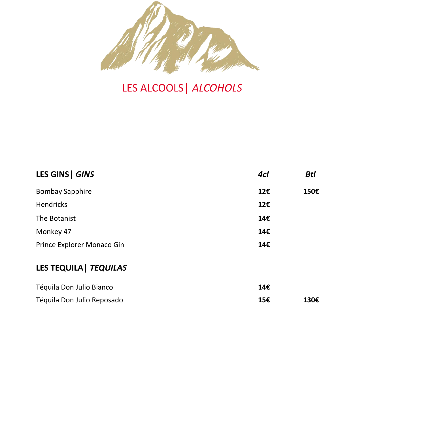

# LES ALCOOLS│ *ALCOHOLS*

| LES GINS   GINS            | 4cl | <b>Btl</b> |
|----------------------------|-----|------------|
| <b>Bombay Sapphire</b>     | 12€ | 150€       |
| Hendricks                  | 12€ |            |
| The Botanist               | 14€ |            |
| Monkey 47                  | 14€ |            |
| Prince Explorer Monaco Gin | 14€ |            |

## **LES TEQUILA│** *TEQUILAS*

| Téquila Don Julio Bianco   | 14€ |      |
|----------------------------|-----|------|
| Téquila Don Julio Reposado | 15€ | 130€ |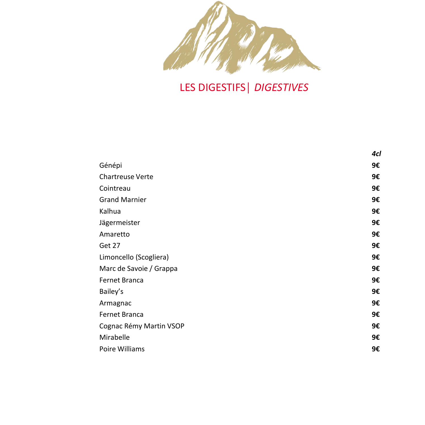

LES DIGESTIFS│ *DIGESTIVES*

|                         | 4cl |
|-------------------------|-----|
| Génépi                  | 9€  |
| <b>Chartreuse Verte</b> | 9€  |
| Cointreau               | 9€  |
| <b>Grand Marnier</b>    | 9€  |
| Kalhua                  | 9€  |
| Jägermeister            | 9€  |
| Amaretto                | 9€  |
| Get 27                  | 9€  |
| Limoncello (Scogliera)  | 9€  |
| Marc de Savoie / Grappa | 9€  |
| Fernet Branca           | 9€  |
| Bailey's                | 9€  |
| Armagnac                | 9€  |
| Fernet Branca           | 9€  |
| Cognac Rémy Martin VSOP | 9€  |
| Mirabelle               | 9€  |
| Poire Williams          | 9€  |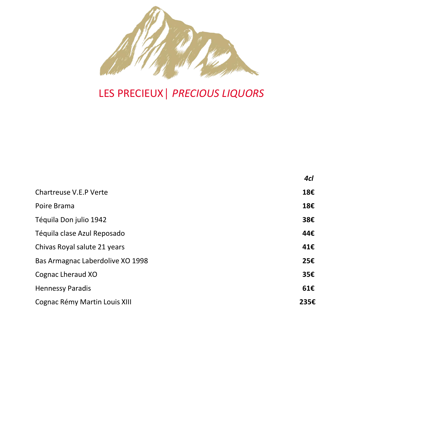

# LES PRECIEUX│ *PRECIOUS LIQUORS*

|                                  | 4cl  |
|----------------------------------|------|
| Chartreuse V.E.P Verte           | 18€  |
| Poire Brama                      | 18€  |
| Téquila Don julio 1942           | 38€  |
| Téquila clase Azul Reposado      | 44€  |
| Chivas Royal salute 21 years     | 41€  |
| Bas Armagnac Laberdolive XO 1998 | 25€  |
| Cognac Lheraud XO                | 35€  |
| <b>Hennessy Paradis</b>          | 61E  |
| Cognac Rémy Martin Louis XIII    | 235€ |